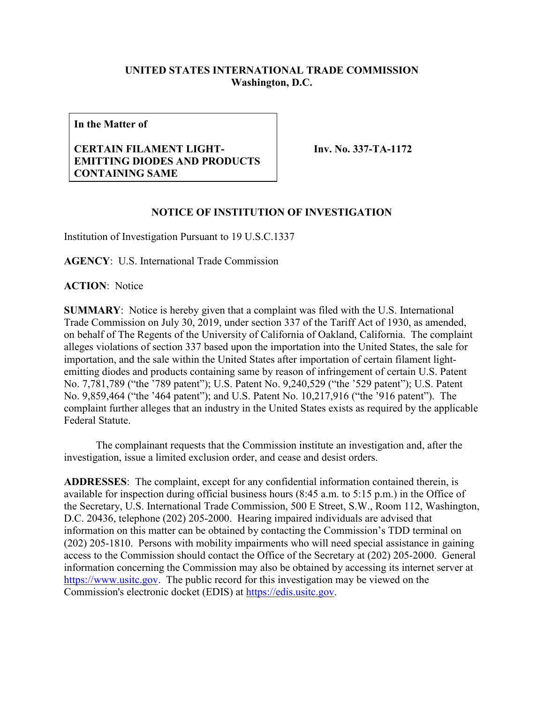## **UNITED STATES INTERNATIONAL TRADE COMMISSION Washington, D.C.**

**In the Matter of**

## **CERTAIN FILAMENT LIGHT-EMITTING DIODES AND PRODUCTS CONTAINING SAME**

**Inv. No. 337-TA-1172**

## **NOTICE OF INSTITUTION OF INVESTIGATION**

Institution of Investigation Pursuant to 19 U.S.C.1337

**AGENCY**: U.S. International Trade Commission

**ACTION**: Notice

**SUMMARY**: Notice is hereby given that a complaint was filed with the U.S. International Trade Commission on July 30, 2019, under section 337 of the Tariff Act of 1930, as amended, on behalf of The Regents of the University of California of Oakland, California. The complaint alleges violations of section 337 based upon the importation into the United States, the sale for importation, and the sale within the United States after importation of certain filament lightemitting diodes and products containing same by reason of infringement of certain U.S. Patent No. 7,781,789 ("the '789 patent"); U.S. Patent No. 9,240,529 ("the '529 patent"); U.S. Patent No. 9,859,464 ("the '464 patent"); and U.S. Patent No. 10,217,916 ("the '916 patent"). The complaint further alleges that an industry in the United States exists as required by the applicable Federal Statute.

The complainant requests that the Commission institute an investigation and, after the investigation, issue a limited exclusion order, and cease and desist orders.

**ADDRESSES**: The complaint, except for any confidential information contained therein, is available for inspection during official business hours (8:45 a.m. to 5:15 p.m.) in the Office of the Secretary, U.S. International Trade Commission, 500 E Street, S.W., Room 112, Washington, D.C. 20436, telephone (202) 205-2000. Hearing impaired individuals are advised that information on this matter can be obtained by contacting the Commission's TDD terminal on (202) 205-1810. Persons with mobility impairments who will need special assistance in gaining access to the Commission should contact the Office of the Secretary at (202) 205-2000. General information concerning the Commission may also be obtained by accessing its internet server at [https://www.usitc.gov.](https://www.usitc.gov/) The public record for this investigation may be viewed on the Commission's electronic docket (EDIS) at [https://edis.usitc.gov.](https://edis.usitc.gov/)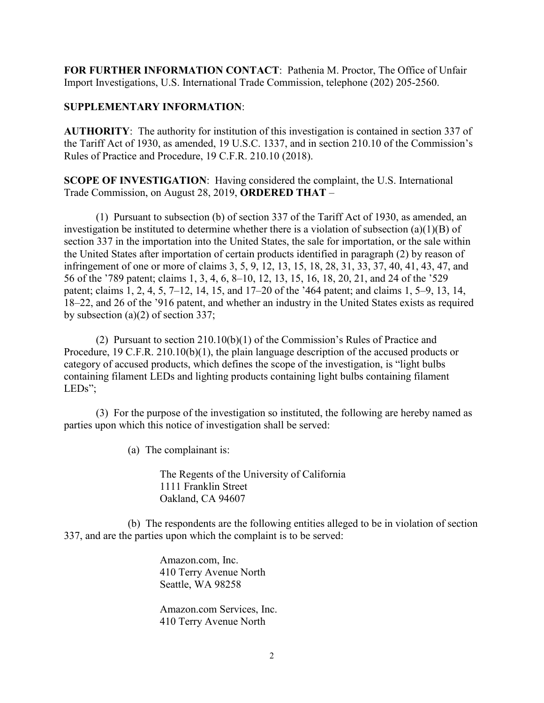**FOR FURTHER INFORMATION CONTACT**: Pathenia M. Proctor, The Office of Unfair Import Investigations, U.S. International Trade Commission, telephone (202) 205-2560.

## **SUPPLEMENTARY INFORMATION**:

**AUTHORITY**: The authority for institution of this investigation is contained in section 337 of the Tariff Act of 1930, as amended, 19 U.S.C. 1337, and in section 210.10 of the Commission's Rules of Practice and Procedure, 19 C.F.R. 210.10 (2018).

**SCOPE OF INVESTIGATION**: Having considered the complaint, the U.S. International Trade Commission, on August 28, 2019, **ORDERED THAT** –

(1) Pursuant to subsection (b) of section 337 of the Tariff Act of 1930, as amended, an investigation be instituted to determine whether there is a violation of subsection (a)(1)(B) of section 337 in the importation into the United States, the sale for importation, or the sale within the United States after importation of certain products identified in paragraph (2) by reason of infringement of one or more of claims 3, 5, 9, 12, 13, 15, 18, 28, 31, 33, 37, 40, 41, 43, 47, and 56 of the '789 patent; claims 1, 3, 4, 6, 8–10, 12, 13, 15, 16, 18, 20, 21, and 24 of the '529 patent; claims 1, 2, 4, 5, 7–12, 14, 15, and 17–20 of the '464 patent; and claims 1, 5–9, 13, 14, 18–22, and 26 of the '916 patent, and whether an industry in the United States exists as required by subsection (a)(2) of section 337;

(2) Pursuant to section 210.10(b)(1) of the Commission's Rules of Practice and Procedure, 19 C.F.R. 210.10(b)(1), the plain language description of the accused products or category of accused products, which defines the scope of the investigation, is "light bulbs containing filament LEDs and lighting products containing light bulbs containing filament LEDs";

(3) For the purpose of the investigation so instituted, the following are hereby named as parties upon which this notice of investigation shall be served:

(a) The complainant is:

The Regents of the University of California 1111 Franklin Street Oakland, CA 94607

(b) The respondents are the following entities alleged to be in violation of section 337, and are the parties upon which the complaint is to be served:

> Amazon.com, Inc. 410 Terry Avenue North Seattle, WA 98258

Amazon.com Services, Inc. 410 Terry Avenue North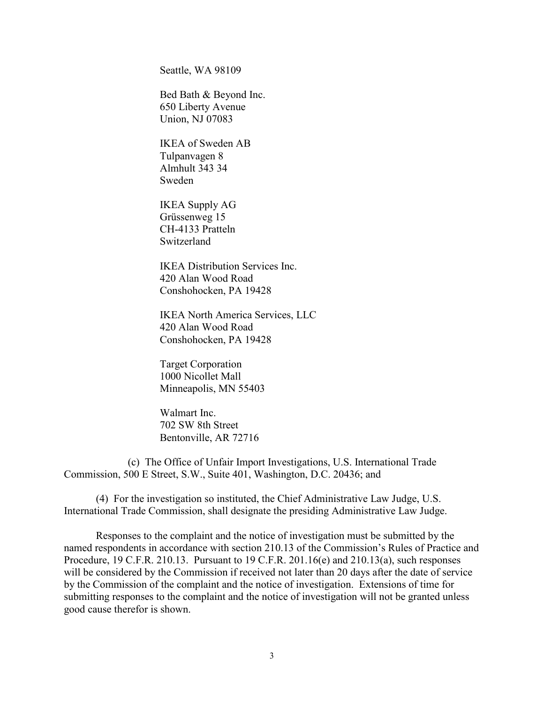Seattle, WA 98109

Bed Bath & Beyond Inc. 650 Liberty Avenue Union, NJ 07083

IKEA of Sweden AB Tulpanvagen 8 Almhult 343 34 Sweden

IKEA Supply AG Grüssenweg 15 CH-4133 Pratteln Switzerland

IKEA Distribution Services Inc. 420 Alan Wood Road Conshohocken, PA 19428

IKEA North America Services, LLC 420 Alan Wood Road Conshohocken, PA 19428

Target Corporation 1000 Nicollet Mall Minneapolis, MN 55403

Walmart Inc. 702 SW 8th Street Bentonville, AR 72716

(c) The Office of Unfair Import Investigations, U.S. International Trade Commission, 500 E Street, S.W., Suite 401, Washington, D.C. 20436; and

(4) For the investigation so instituted, the Chief Administrative Law Judge, U.S. International Trade Commission, shall designate the presiding Administrative Law Judge.

Responses to the complaint and the notice of investigation must be submitted by the named respondents in accordance with section 210.13 of the Commission's Rules of Practice and Procedure, 19 C.F.R. 210.13. Pursuant to 19 C.F.R. 201.16(e) and 210.13(a), such responses will be considered by the Commission if received not later than 20 days after the date of service by the Commission of the complaint and the notice of investigation. Extensions of time for submitting responses to the complaint and the notice of investigation will not be granted unless good cause therefor is shown.